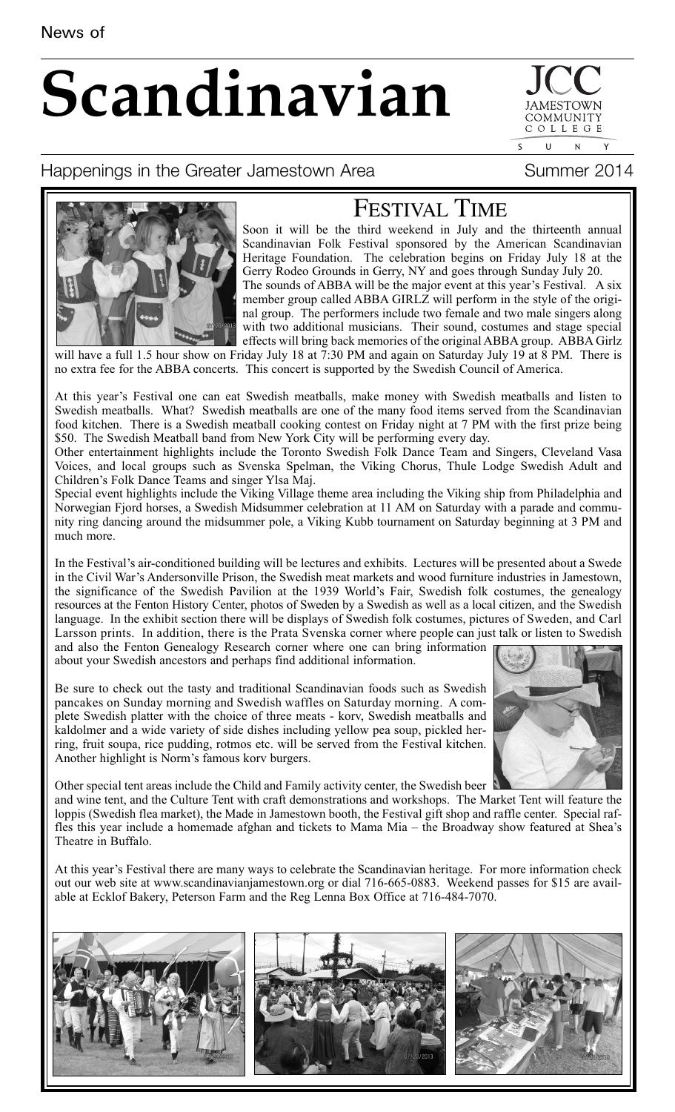# **Scandinavian**

COMMUNIT COLLEGE  $\mathbf{U}$  $\overline{N}$ 

# Happenings in the Greater Jamestown Area Theodores Summer 2014



# FESTIVAL TIME

Soon it will be the third weekend in July and the thirteenth annual Scandinavian Folk Festival sponsored by the American Scandinavian Heritage Foundation. The celebration begins on Friday July 18 at the Gerry Rodeo Grounds in Gerry, NY and goes through Sunday July 20. The sounds of ABBA will be the major event at this year's Festival. A six member group called ABBA GIRLZ will perform in the style of the original group. The performers include two female and two male singers along with two additional musicians. Their sound, costumes and stage special effects will bring back memories of the original ABBA group. ABBA Girlz

will have a full 1.5 hour show on Friday July 18 at 7:30 PM and again on Saturday July 19 at 8 PM. There is no extra fee for the ABBA concerts. This concert is supported by the Swedish Council of America.

At this year's Festival one can eat Swedish meatballs, make money with Swedish meatballs and listen to Swedish meatballs. What? Swedish meatballs are one of the many food items served from the Scandinavian food kitchen. There is a Swedish meatball cooking contest on Friday night at 7 PM with the first prize being \$50. The Swedish Meatball band from New York City will be performing every day.

Other entertainment highlights include the Toronto Swedish Folk Dance Team and Singers, Cleveland Vasa Voices, and local groups such as Svenska Spelman, the Viking Chorus, Thule Lodge Swedish Adult and Children's Folk Dance Teams and singer Ylsa Maj.

Special event highlights include the Viking Village theme area including the Viking ship from Philadelphia and Norwegian Fjord horses, a Swedish Midsummer celebration at 11 AM on Saturday with a parade and community ring dancing around the midsummer pole, a Viking Kubb tournament on Saturday beginning at 3 PM and much more.

In the Festival's air-conditioned building will be lectures and exhibits. Lectures will be presented about a Swede in the Civil War's Andersonville Prison, the Swedish meat markets and wood furniture industries in Jamestown, the significance of the Swedish Pavilion at the 1939 World's Fair, Swedish folk costumes, the genealogy resources at the Fenton History Center, photos of Sweden by a Swedish as well as a local citizen, and the Swedish language. In the exhibit section there will be displays of Swedish folk costumes, pictures of Sweden, and Carl Larsson prints. In addition, there is the Prata Svenska corner where people can just talk or listen to Swedish and also the Fenton Genealogy Research corner where one can bring information about your Swedish ancestors and perhaps find additional information.

Be sure to check out the tasty and traditional Scandinavian foods such as Swedish pancakes on Sunday morning and Swedish waffles on Saturday morning. A complete Swedish platter with the choice of three meats - korv, Swedish meatballs and kaldolmer and a wide variety of side dishes including yellow pea soup, pickled herring, fruit soupa, rice pudding, rotmos etc. will be served from the Festival kitchen. Another highlight is Norm's famous korv burgers.



Other special tent areas include the Child and Family activity center, the Swedish beer

and wine tent, and the Culture Tent with craft demonstrations and workshops. The Market Tent will feature the loppis (Swedish flea market), the Made in Jamestown booth, the Festival gift shop and raffle center. Special raffles this year include a homemade afghan and tickets to Mama Mia – the Broadway show featured at Shea's Theatre in Buffalo.

At this year's Festival there are many ways to celebrate the Scandinavian heritage. For more information check out our web site at www.scandinavianjamestown.org or dial 716-665-0883. Weekend passes for \$15 are available at Ecklof Bakery, Peterson Farm and the Reg Lenna Box Office at 716-484-7070.